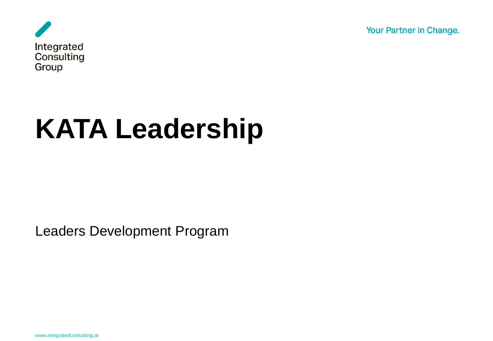Your Partner in Change.



# **KATA Leadership**

Leaders Development Program

www.integratedconsulting.at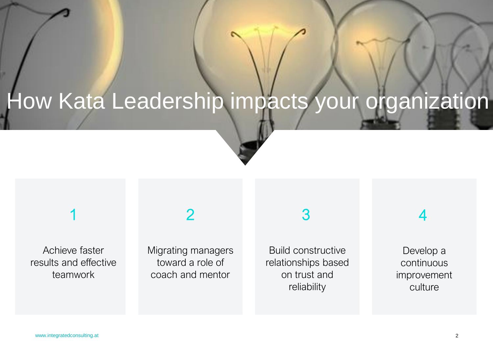## How Kata Leadership impacts your organization

#### 1

#### Achieve faster results and effective teamwork

#### Migrating managers toward a role of coach and mentor

2

#### 3

Build constructive relationships based on trust and reliability

#### 4

Develop a continuous improvement culture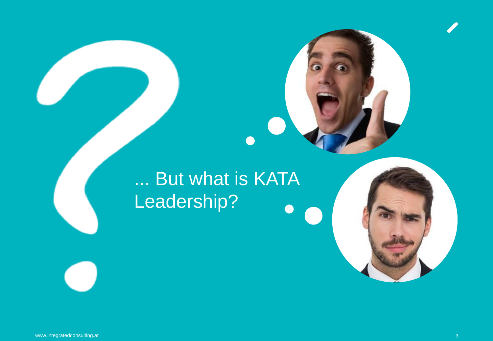#### ... But what is KATA Leadership? $\blacksquare$

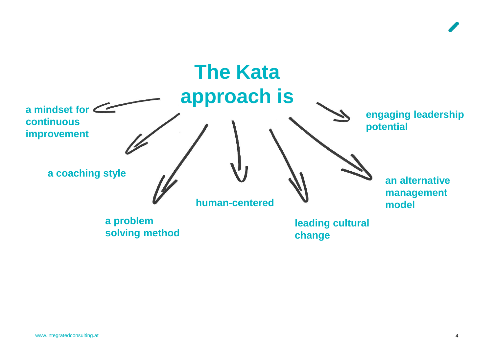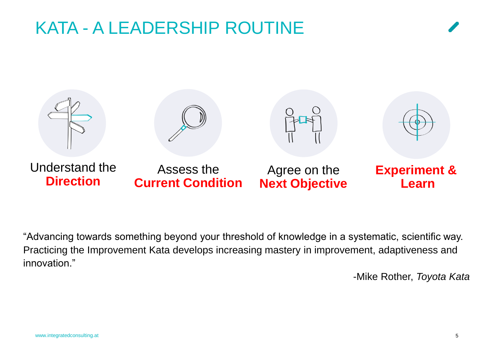### KATA - A LEADERSHIP ROUTINE



"Advancing towards something beyond your threshold of knowledge in a systematic, scientific way. Practicing the Improvement Kata develops increasing mastery in improvement, adaptiveness and innovation."

-Mike Rother, *Toyota Kata*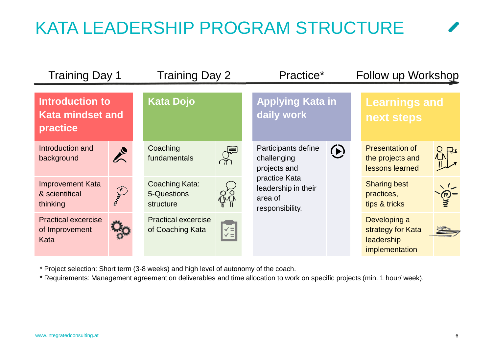## KATA LEADERSHIP PROGRAM STRUCTURE

| <b>Training Day 1</b>                                         |               | Training Day 2                                 |                                   | Practice*                                                                                                                |                 | Follow up Workshop                                                |  |
|---------------------------------------------------------------|---------------|------------------------------------------------|-----------------------------------|--------------------------------------------------------------------------------------------------------------------------|-----------------|-------------------------------------------------------------------|--|
| <b>Introduction to</b><br><b>Kata mindset and</b><br>practice |               | <b>Kata Dojo</b>                               |                                   | <b>Applying Kata in</b><br>daily work                                                                                    |                 | <b>Learnings and</b><br>next steps                                |  |
| Introduction and<br>background                                | $\frac{1}{2}$ | Coaching<br>fundamentals                       | $\frac{1}{\sqrt{2}}$              | Participants define<br>challenging<br>projects and<br>practice Kata<br>leadership in their<br>area of<br>responsibility. | $\ddot{\Omega}$ | <b>Presentation of</b><br>the projects and<br>lessons learned     |  |
| <b>Improvement Kata</b><br>& scientifical<br>thinking         | (*            | Coaching Kata:<br>5-Questions<br>structure     | $\sum_{n=1}^{\infty}$             |                                                                                                                          |                 | <b>Sharing best</b><br>practices,<br>tips & tricks                |  |
| <b>Practical excercise</b><br>of Improvement<br>Kata          |               | <b>Practical excercise</b><br>of Coaching Kata | $\left \frac{1}{\sqrt{2}}\right $ |                                                                                                                          |                 | Developing a<br>strategy for Kata<br>leadership<br>implementation |  |

\* Project selection: Short term (3-8 weeks) and high level of autonomy of the coach.

\* Requirements: Management agreement on deliverables and time allocation to work on specific projects (min. 1 hour/ week).